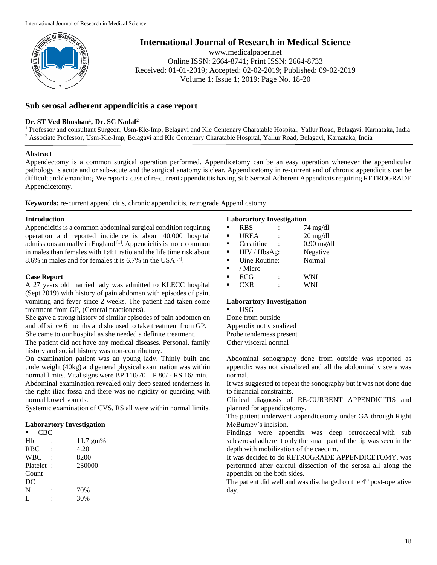

**International Journal of Research in Medical Science**

www.medicalpaper.net Online ISSN: 2664-8741; Print ISSN: 2664-8733 Received: 01-01-2019; Accepted: 02-02-2019; Published: 09-02-2019 Volume 1; Issue 1; 2019; Page No. 18-20

# **Sub serosal adherent appendicitis a case report**

## **Dr. ST Ved Bhushan<sup>1</sup> , Dr. SC Nadaf<sup>2</sup>**

<sup>1</sup> Professor and consultant Surgeon, Usm-Kle-Imp, Belagavi and Kle Centenary Charatable Hospital, Yallur Road, Belagavi, Karnataka, India <sup>2</sup> Associate Professor, Usm-Kle-Imp, Belagavi and Kle Centenary Charatable Hospital, Yallur Road, Belagavi, Karnataka, India

### **Abstract**

Appendectomy is a common surgical operation performed. Appendicetomy can be an easy operation whenever the appendicular pathology is acute and or sub-acute and the surgical anatomy is clear. Appendicetomy in re-current and of chronic appendicitis can be difficult and demanding. We report a case of re-current appendicitis having Sub Serosal Adherent Appendictis requiring RETROGRADE Appendicetomy.

**Keywords:** re-current appendicitis, chronic appendicitis, retrograde Appendicetomy

### **Introduction**

Appendicitis is a common abdominal surgical condition requiring operation and reported incidence is about 40,000 hospital admissions annually in England [1]. Appendicitis is more common in males than females with 1:4:1 ratio and the life time risk about 8.6% in males and for females it is 6.7% in the USA [2] .

### **Case Report**

A 27 years old married lady was admitted to KLECC hospital (Sept 2019) with history of pain abdomen with episodes of pain, vomiting and fever since 2 weeks. The patient had taken some treatment from GP, (General practioners).

She gave a strong history of similar episodes of pain abdomen on and off since 6 months and she used to take treatment from GP. She came to our hospital as she needed a definite treatment.

The patient did not have any medical diseases. Personal, family history and social history was non-contributory.

On examination patient was an young lady. Thinly built and underweight (40kg) and general physical examination was within normal limits. Vital signs were BP 110/70 – P 80/ - RS 16/ min. Abdominal examination revealed only deep seated tenderness in the right iliac fossa and there was no rigidity or guarding with normal bowel sounds.

Systemic examination of CVS, RS all were within normal limits.

### **Laborartory Investigation**

|          | CBC        |
|----------|------------|
| 11.7 gm% | Hb         |
| 4.20     | <b>RBC</b> |
| 8200     | <b>WBC</b> |
| 230000   | Platelet : |
|          | Count      |
|          | DC         |
| 70%      | N          |
| 30%      | L          |
|          |            |

### **Laborartory Investigation**

| ٠              | <b>RBS</b>    | $74 \text{ mg/dl}$ |
|----------------|---------------|--------------------|
| $\blacksquare$ | <b>UREA</b>   | $20 \text{ mg/dl}$ |
| ٠              | Creatitine    | $0.90$ mg/dl       |
| п              | HIV / HbsAg:  | Negative           |
| п              | Uine Routine: | Normal             |
| п              | / Micro       |                    |
|                | ECG           | <b>WNL</b>         |
|                | CXR           | WNL                |

### **Laborartory Investigation**

 USG Done from outside Appendix not visualized Probe tenderness present Other visceral normal

Abdominal sonography done from outside was reported as appendix was not visualized and all the abdominal viscera was normal.

It was suggested to repeat the sonography but it was not done due to financial constraints.

Clinical diagnosis of RE-CURRENT APPENDICITIS and planned for appendicetomy.

The patient underwent appendicetomy under GA through Right McBurney's incision.

Findings were appendix was deep retrocaecal with sub subserosal adherent only the small part of the tip was seen in the depth with mobilization of the caecum.

It was decided to do RETROGRADE APPENDICETOMY, was performed after careful dissection of the serosa all along the appendix on the both sides.

The patient did well and was discharged on the 4<sup>th</sup> post-operative day.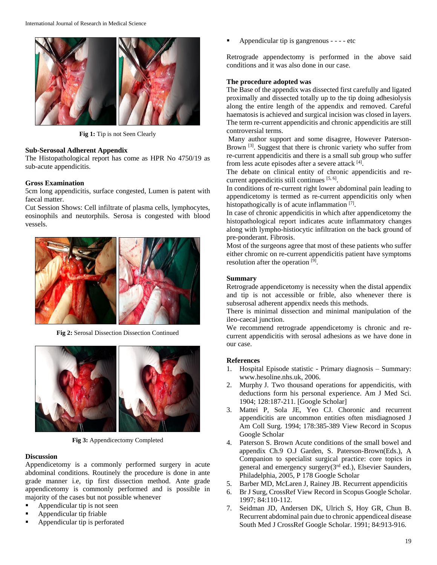

**Fig 1:** Tip is not Seen Clearly

#### **Sub-Serosoal Adherent Appendix**

The Histopathological report has come as HPR No 4750/19 as sub-acute appendicitis.

#### **Gross Examination**

5cm long appendicitis, surface congested, Lumen is patent with faecal matter.

Cut Session Shows: Cell infiltrate of plasma cells, lymphocytes, eosinophils and neutorphils. Serosa is congested with blood vessels.



**Fig 2:** Serosal Dissection Dissection Continued



**Fig 3:** Appendicectomy Completed

#### **Discussion**

Appendicetomy is a commonly performed surgery in acute abdominal conditions. Routinely the procedure is done in ante grade manner i.e, tip first dissection method. Ante grade appendicetomy is commonly performed and is possible in majority of the cases but not possible whenever

- Appendicular tip is not seen
- Appendicular tip friable
- Appendicular tip is perforated

Appendicular tip is gangrenous - - - - etc

Retrograde appendectomy is performed in the above said conditions and it was also done in our case.

#### **The procedure adopted was**

The Base of the appendix was dissected first carefully and ligated proximally and dissected totally up to the tip doing adhesiolysis along the entire length of the appendix and removed. Careful haematosis is achieved and surgical incision was closed in layers. The term re-current appendicitis and chronic appendicitis are still controversial terms.

Many author support and some disagree, However Paterson-Brown<sup>[3]</sup>. Suggest that there is chronic variety who suffer from re-current appendicitis and there is a small sub group who suffer from less acute episodes after a severe attack [4].

The debate on clinical entity of chronic appendicitis and recurrent appendicitis still continues [5, 6].

In conditions of re-current right lower abdominal pain leading to appendicetomy is termed as re-current appendicitis only when histopathogically is of acute inflammation [7].

In case of chronic appendicitis in which after appendicetomy the histopathological report indicates acute inflammatory changes along with lympho-histiocytic infiltration on the back ground of pre-ponderant. Fibrosis.

Most of the surgeons agree that most of these patients who suffer either chromic on re-current appendicitis patient have symptoms resolution after the operation [9].

#### **Summary**

Retrograde appendicetomy is necessity when the distal appendix and tip is not accessible or frible, also whenever there is subserosal adherent appendix needs this methods.

There is minimal dissection and minimal manipulation of the ileo-caecal junction.

We recommend retrograde appendicetomy is chronic and recurrent appendicitis with serosal adhesions as we have done in our case.

#### **References**

- 1. Hospital Episode statistic Primary diagnosis Summary: www.hesoline.nhs.uk, 2006.
- 2. Murphy J. Two thousand operations for appendicitis, with deductions form his personal experience. Am J Med Sci. 1904; 128:187-211. [Google Scholar]
- 3. Mattei P, Sola JE, Yeo CJ. Choronic and recurrent appendicitis are uncommon entities often misdiagnosed J Am Coll Surg. 1994; 178:385-389 View Record in Scopus Google Scholar
- 4. Paterson S. Brown Acute conditions of the small bowel and appendix Ch.9 O.J Garden, S. Paterson-Brown(Eds.), A Companion to specialist surgical practice: core topics in general and emergency surgery(3rd ed.), Elsevier Saunders, Philadelphia, 2005, P 178 Google Scholar
- 5. Barber MD, McLaren J, Rainey JB. Recurrent appendicitis
- 6. Br J Surg, CrossRef View Record in Scopus Google Scholar. 1997; 84:110-112.
- 7. Seidman JD, Andersen DK, Ulrich S, Hoy GR, Chun B. Recurrent abdominal pain due to chronic appendiceal disease South Med J CrossRef Google Scholar. 1991; 84:913-916.